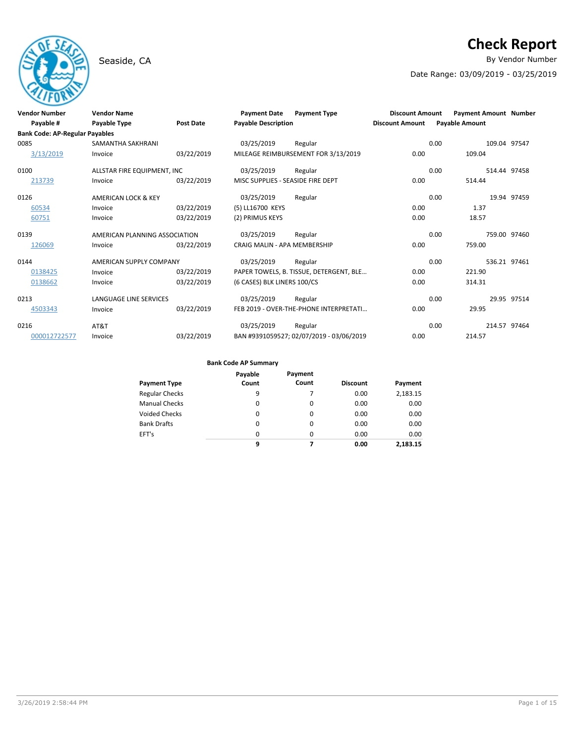# Seaside, CA **By Vendor Number**

# **Check Report**

Date Range: 03/09/2019 - 03/25/2019

| <b>Vendor Number</b>                  | <b>Vendor Name</b>             |                  | <b>Payment Date</b>                 | <b>Payment Type</b>                      | <b>Discount Amount</b> | <b>Payment Amount Number</b> |              |
|---------------------------------------|--------------------------------|------------------|-------------------------------------|------------------------------------------|------------------------|------------------------------|--------------|
| Payable #                             | <b>Payable Type</b>            | <b>Post Date</b> | <b>Pavable Description</b>          |                                          | <b>Discount Amount</b> | <b>Payable Amount</b>        |              |
| <b>Bank Code: AP-Regular Payables</b> |                                |                  |                                     |                                          |                        |                              |              |
| 0085                                  | <b>SAMANTHA SAKHRANI</b>       |                  | 03/25/2019                          | Regular                                  |                        | 0.00                         | 109.04 97547 |
| 3/13/2019                             | Invoice                        | 03/22/2019       |                                     | MILEAGE REIMBURSEMENT FOR 3/13/2019      | 0.00                   | 109.04                       |              |
| 0100                                  | ALLSTAR FIRE EQUIPMENT, INC    |                  | 03/25/2019                          | Regular                                  |                        | 0.00                         | 514.44 97458 |
| 213739                                | Invoice                        | 03/22/2019       | MISC SUPPLIES - SEASIDE FIRE DEPT   |                                          | 0.00                   | 514.44                       |              |
| 0126                                  | <b>AMERICAN LOCK &amp; KEY</b> |                  | 03/25/2019                          | Regular                                  |                        | 0.00                         | 19.94 97459  |
| 60534                                 | Invoice                        | 03/22/2019       | (5) LL16700 KEYS                    |                                          | 0.00                   | 1.37                         |              |
| 60751                                 | Invoice                        | 03/22/2019       | (2) PRIMUS KEYS                     |                                          | 0.00                   | 18.57                        |              |
| 0139                                  | AMERICAN PLANNING ASSOCIATION  |                  | 03/25/2019                          | Regular                                  |                        | 0.00                         | 759.00 97460 |
| 126069                                | Invoice                        | 03/22/2019       | <b>CRAIG MALIN - APA MEMBERSHIP</b> |                                          | 0.00                   | 759.00                       |              |
| 0144                                  | AMERICAN SUPPLY COMPANY        |                  | 03/25/2019                          | Regular                                  |                        | 0.00                         | 536.21 97461 |
| 0138425                               | Invoice                        | 03/22/2019       |                                     | PAPER TOWELS, B. TISSUE, DETERGENT, BLE  | 0.00                   | 221.90                       |              |
| 0138662                               | Invoice                        | 03/22/2019       | (6 CASES) BLK LINERS 100/CS         |                                          | 0.00                   | 314.31                       |              |
| 0213                                  | LANGUAGE LINE SERVICES         |                  | 03/25/2019                          | Regular                                  |                        | 0.00                         | 29.95 97514  |
| 4503343                               | Invoice                        | 03/22/2019       |                                     | FEB 2019 - OVER-THE-PHONE INTERPRETATI   | 0.00                   | 29.95                        |              |
| 0216                                  | AT&T                           |                  | 03/25/2019                          | Regular                                  |                        | 0.00<br>214.57 97464         |              |
| 000012722577                          | Invoice                        | 03/22/2019       |                                     | BAN #9391059527; 02/07/2019 - 03/06/2019 | 0.00                   | 214.57                       |              |

| Payment Type          | Payable<br>Count | Payment<br>Count | <b>Discount</b> | Payment  |
|-----------------------|------------------|------------------|-----------------|----------|
| <b>Regular Checks</b> | 9                |                  | 0.00            | 2,183.15 |
| <b>Manual Checks</b>  | 0                | 0                | 0.00            | 0.00     |
| Voided Checks         | $\Omega$         | 0                | 0.00            | 0.00     |
| <b>Bank Drafts</b>    | $\Omega$         | $\Omega$         | 0.00            | 0.00     |
| EFT's                 | 0                | 0                | 0.00            | 0.00     |
|                       | 9                | 7                | 0.00            | 2,183.15 |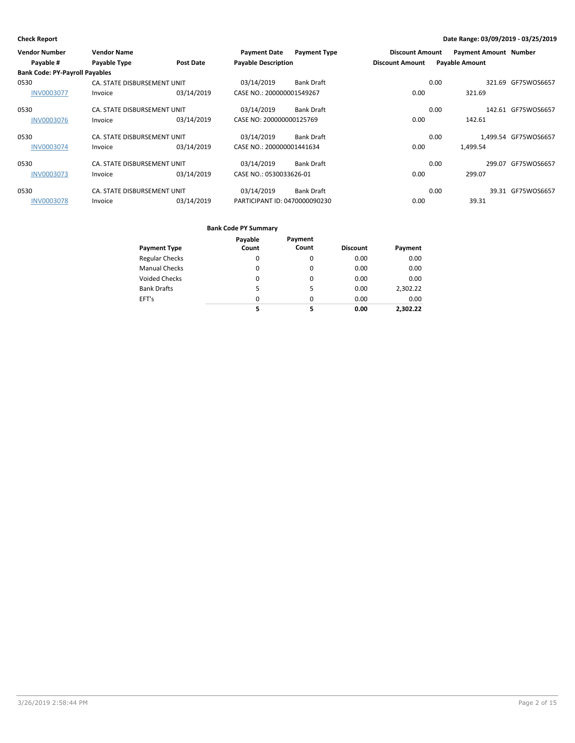| <b>Vendor Number</b>                  | <b>Vendor Name</b>          |                  | <b>Payment Date</b>           | <b>Payment Type</b> | <b>Discount Amount</b> |      | <b>Payment Amount Number</b> |                      |
|---------------------------------------|-----------------------------|------------------|-------------------------------|---------------------|------------------------|------|------------------------------|----------------------|
| Payable #                             | Payable Type                | <b>Post Date</b> | <b>Payable Description</b>    |                     | <b>Discount Amount</b> |      | <b>Payable Amount</b>        |                      |
| <b>Bank Code: PY-Payroll Payables</b> |                             |                  |                               |                     |                        |      |                              |                      |
| 0530                                  | CA. STATE DISBURSEMENT UNIT |                  | 03/14/2019                    | <b>Bank Draft</b>   |                        | 0.00 | 321.69                       | GF75WOS6657          |
| <b>INV0003077</b>                     | Invoice                     | 03/14/2019       | CASE NO.: 200000001549267     |                     | 0.00                   |      | 321.69                       |                      |
| 0530                                  | CA. STATE DISBURSEMENT UNIT |                  | 03/14/2019                    | <b>Bank Draft</b>   |                        | 0.00 |                              | 142.61 GF75WOS6657   |
| <b>INV0003076</b>                     | Invoice                     | 03/14/2019       | CASE NO: 200000000125769      |                     | 0.00                   |      | 142.61                       |                      |
| 0530                                  | CA. STATE DISBURSEMENT UNIT |                  | 03/14/2019                    | <b>Bank Draft</b>   |                        | 0.00 |                              | 1,499.54 GF75WOS6657 |
| <b>INV0003074</b>                     | Invoice                     | 03/14/2019       | CASE NO.: 200000001441634     |                     | 0.00                   |      | 1.499.54                     |                      |
| 0530                                  | CA. STATE DISBURSEMENT UNIT |                  | 03/14/2019                    | Bank Draft          |                        | 0.00 |                              | 299.07 GF75WOS6657   |
| <b>INV0003073</b>                     | Invoice                     | 03/14/2019       | CASE NO.: 0530033626-01       |                     | 0.00                   |      | 299.07                       |                      |
| 0530                                  | CA. STATE DISBURSEMENT UNIT |                  | 03/14/2019                    | Bank Draft          |                        | 0.00 |                              | 39.31 GF75WOS6657    |
| <b>INV0003078</b>                     | Invoice                     | 03/14/2019       | PARTICIPANT ID: 0470000090230 |                     | 0.00                   |      | 39.31                        |                      |

|                       | Payable  | Payment  |                 |          |
|-----------------------|----------|----------|-----------------|----------|
| Payment Type          | Count    | Count    | <b>Discount</b> | Payment  |
| <b>Regular Checks</b> | 0        | 0        | 0.00            | 0.00     |
| <b>Manual Checks</b>  | 0        | 0        | 0.00            | 0.00     |
| Voided Checks         | 0        | $\Omega$ | 0.00            | 0.00     |
| <b>Bank Drafts</b>    | 5        | 5        | 0.00            | 2,302.22 |
| EFT's                 | $\Omega$ | $\Omega$ | 0.00            | 0.00     |
|                       | 5        | 5        | 0.00            | 2.302.22 |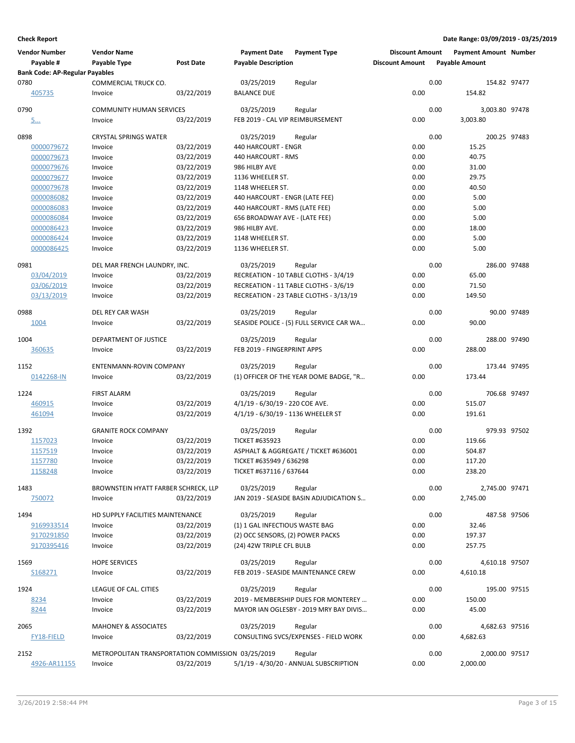| <b>Vendor Number</b>                  | <b>Vendor Name</b>                                |            | <b>Payment Date</b>                                            | <b>Payment Type</b>                      | <b>Discount Amount</b> |      | <b>Payment Amount Number</b> |             |
|---------------------------------------|---------------------------------------------------|------------|----------------------------------------------------------------|------------------------------------------|------------------------|------|------------------------------|-------------|
| Payable #                             | Payable Type                                      | Post Date  | <b>Payable Description</b>                                     |                                          | <b>Discount Amount</b> |      | <b>Payable Amount</b>        |             |
| <b>Bank Code: AP-Regular Payables</b> |                                                   |            |                                                                |                                          |                        |      |                              |             |
| 0780                                  | COMMERCIAL TRUCK CO.                              |            | 03/25/2019                                                     | Regular                                  |                        | 0.00 | 154.82 97477                 |             |
| 405735                                | Invoice                                           | 03/22/2019 | <b>BALANCE DUE</b>                                             |                                          | 0.00                   |      | 154.82                       |             |
| 0790                                  | <b>COMMUNITY HUMAN SERVICES</b>                   |            | 03/25/2019                                                     | Regular                                  |                        | 0.00 | 3,003.80 97478               |             |
| <u>5</u>                              | Invoice                                           | 03/22/2019 | FEB 2019 - CAL VIP REIMBURSEMENT                               |                                          | 0.00                   |      | 3,003.80                     |             |
| 0898                                  | <b>CRYSTAL SPRINGS WATER</b>                      |            | 03/25/2019                                                     | Regular                                  |                        | 0.00 | 200.25 97483                 |             |
| 0000079672                            | Invoice                                           | 03/22/2019 | 440 HARCOURT - ENGR                                            |                                          | 0.00                   |      | 15.25                        |             |
| 0000079673                            | Invoice                                           | 03/22/2019 | 440 HARCOURT - RMS                                             |                                          | 0.00                   |      | 40.75                        |             |
| 0000079676                            | Invoice                                           | 03/22/2019 | 986 HILBY AVE                                                  |                                          | 0.00                   |      | 31.00                        |             |
| 0000079677                            | Invoice                                           | 03/22/2019 | 1136 WHEELER ST.                                               |                                          | 0.00                   |      | 29.75                        |             |
| 0000079678                            | Invoice                                           | 03/22/2019 | 1148 WHEELER ST.                                               |                                          | 0.00                   |      | 40.50                        |             |
| 0000086082                            | Invoice                                           | 03/22/2019 | 440 HARCOURT - ENGR (LATE FEE)                                 |                                          | 0.00                   |      | 5.00                         |             |
|                                       |                                                   | 03/22/2019 |                                                                |                                          | 0.00                   |      | 5.00                         |             |
| 0000086083<br>0000086084              | Invoice<br>Invoice                                | 03/22/2019 | 440 HARCOURT - RMS (LATE FEE)<br>656 BROADWAY AVE - (LATE FEE) |                                          | 0.00                   |      | 5.00                         |             |
|                                       |                                                   |            |                                                                |                                          |                        |      |                              |             |
| 0000086423                            | Invoice                                           | 03/22/2019 | 986 HILBY AVE.                                                 |                                          | 0.00                   |      | 18.00                        |             |
| 0000086424                            | Invoice                                           | 03/22/2019 | 1148 WHEELER ST.                                               |                                          | 0.00                   |      | 5.00                         |             |
| 0000086425                            | Invoice                                           | 03/22/2019 | 1136 WHEELER ST.                                               |                                          | 0.00                   |      | 5.00                         |             |
| 0981                                  | DEL MAR FRENCH LAUNDRY, INC.                      |            | 03/25/2019                                                     | Regular                                  |                        | 0.00 | 286.00 97488                 |             |
| 03/04/2019                            | Invoice                                           | 03/22/2019 |                                                                | RECREATION - 10 TABLE CLOTHS - 3/4/19    | 0.00                   |      | 65.00                        |             |
| 03/06/2019                            | Invoice                                           | 03/22/2019 |                                                                | RECREATION - 11 TABLE CLOTHS - 3/6/19    | 0.00                   |      | 71.50                        |             |
| 03/13/2019                            | Invoice                                           | 03/22/2019 |                                                                | RECREATION - 23 TABLE CLOTHS - 3/13/19   | 0.00                   |      | 149.50                       |             |
| 0988                                  | DEL REY CAR WASH                                  |            | 03/25/2019                                                     | Regular                                  |                        | 0.00 |                              | 90.00 97489 |
| 1004                                  | Invoice                                           | 03/22/2019 |                                                                | SEASIDE POLICE - (5) FULL SERVICE CAR WA | 0.00                   |      | 90.00                        |             |
|                                       |                                                   |            |                                                                |                                          |                        |      |                              |             |
| 1004                                  | DEPARTMENT OF JUSTICE                             |            | 03/25/2019                                                     | Regular                                  |                        | 0.00 | 288.00 97490                 |             |
| 360635                                | Invoice                                           | 03/22/2019 | FEB 2019 - FINGERPRINT APPS                                    |                                          | 0.00                   |      | 288.00                       |             |
| 1152                                  | ENTENMANN-ROVIN COMPANY                           |            | 03/25/2019                                                     | Regular                                  |                        | 0.00 | 173.44 97495                 |             |
| 0142268-IN                            | Invoice                                           | 03/22/2019 |                                                                | (1) OFFICER OF THE YEAR DOME BADGE, "R   | 0.00                   |      | 173.44                       |             |
| 1224                                  | <b>FIRST ALARM</b>                                |            | 03/25/2019                                                     | Regular                                  |                        | 0.00 | 706.68 97497                 |             |
| 460915                                | Invoice                                           | 03/22/2019 | 4/1/19 - 6/30/19 - 220 COE AVE.                                |                                          | 0.00                   |      | 515.07                       |             |
| 461094                                | Invoice                                           | 03/22/2019 | 4/1/19 - 6/30/19 - 1136 WHEELER ST                             |                                          | 0.00                   |      | 191.61                       |             |
|                                       |                                                   |            |                                                                |                                          |                        |      |                              |             |
| 1392                                  | <b>GRANITE ROCK COMPANY</b>                       |            | 03/25/2019                                                     | Regular                                  |                        | 0.00 | 979.93 97502                 |             |
| 1157023                               | Invoice                                           | 03/22/2019 | <b>TICKET #635923</b>                                          |                                          | 0.00                   |      | 119.66                       |             |
| 1157519                               | Invoice                                           | 03/22/2019 |                                                                | ASPHALT & AGGREGATE / TICKET #636001     | 0.00                   |      | 504.87                       |             |
| 1157780                               | Invoice                                           | 03/22/2019 | TICKET #635949 / 636298                                        |                                          | 0.00                   |      | 117.20                       |             |
| 1158248                               | Invoice                                           | 03/22/2019 | TICKET #637116 / 637644                                        |                                          | 0.00                   |      | 238.20                       |             |
| 1483                                  | BROWNSTEIN HYATT FARBER SCHRECK, LLP              |            | 03/25/2019                                                     | Regular                                  |                        | 0.00 | 2,745.00 97471               |             |
| 750072                                | Invoice                                           | 03/22/2019 |                                                                | JAN 2019 - SEASIDE BASIN ADJUDICATION S  | 0.00                   |      | 2,745.00                     |             |
|                                       |                                                   |            |                                                                |                                          |                        |      |                              |             |
| 1494                                  | HD SUPPLY FACILITIES MAINTENANCE                  |            | 03/25/2019                                                     | Regular                                  |                        | 0.00 | 487.58 97506                 |             |
| 9169933514                            | Invoice                                           | 03/22/2019 | (1) 1 GAL INFECTIOUS WASTE BAG                                 |                                          | 0.00                   |      | 32.46                        |             |
| 9170291850                            | Invoice                                           | 03/22/2019 | (2) OCC SENSORS, (2) POWER PACKS                               |                                          | 0.00                   |      | 197.37                       |             |
| 9170395416                            | Invoice                                           | 03/22/2019 | (24) 42W TRIPLE CFL BULB                                       |                                          | 0.00                   |      | 257.75                       |             |
| 1569                                  | <b>HOPE SERVICES</b>                              |            | 03/25/2019                                                     | Regular                                  |                        | 0.00 | 4,610.18 97507               |             |
| S168271                               | Invoice                                           | 03/22/2019 |                                                                | FEB 2019 - SEASIDE MAINTENANCE CREW      | 0.00                   |      | 4,610.18                     |             |
|                                       |                                                   |            |                                                                |                                          |                        |      |                              |             |
| 1924                                  | LEAGUE OF CAL. CITIES                             |            | 03/25/2019                                                     | Regular                                  |                        | 0.00 | 195.00 97515                 |             |
| 8234                                  | Invoice                                           | 03/22/2019 |                                                                | 2019 - MEMBERSHIP DUES FOR MONTEREY      | 0.00                   |      | 150.00                       |             |
| 8244                                  | Invoice                                           | 03/22/2019 |                                                                | MAYOR IAN OGLESBY - 2019 MRY BAY DIVIS   | 0.00                   |      | 45.00                        |             |
| 2065                                  | <b>MAHONEY &amp; ASSOCIATES</b>                   |            | 03/25/2019                                                     | Regular                                  |                        | 0.00 | 4,682.63 97516               |             |
| FY18-FIELD                            | Invoice                                           | 03/22/2019 |                                                                | CONSULTING SVCS/EXPENSES - FIELD WORK    | 0.00                   |      | 4,682.63                     |             |
| 2152                                  | METROPOLITAN TRANSPORTATION COMMISSION 03/25/2019 |            |                                                                | Regular                                  |                        | 0.00 | 2,000.00 97517               |             |
| 4926-AR11155                          | Invoice                                           | 03/22/2019 |                                                                | 5/1/19 - 4/30/20 - ANNUAL SUBSCRIPTION   | 0.00                   |      | 2,000.00                     |             |
|                                       |                                                   |            |                                                                |                                          |                        |      |                              |             |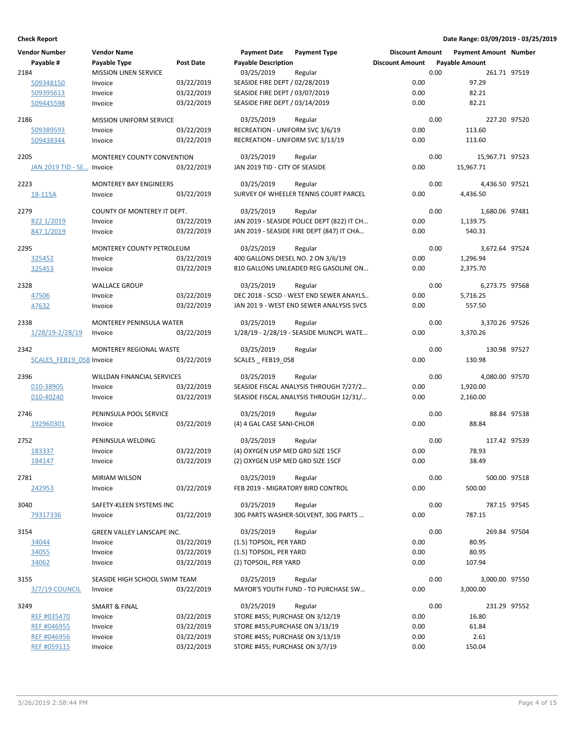| <b>Vendor Number</b>      | <b>Vendor Name</b>                |            | <b>Payment Date</b>                | <b>Payment Type</b>                        | <b>Discount Amount</b> |      | <b>Payment Amount Number</b> |             |
|---------------------------|-----------------------------------|------------|------------------------------------|--------------------------------------------|------------------------|------|------------------------------|-------------|
| Payable #                 | Payable Type                      | Post Date  | <b>Payable Description</b>         |                                            | <b>Discount Amount</b> |      | <b>Payable Amount</b>        |             |
| 2184                      | <b>MISSION LINEN SERVICE</b>      |            | 03/25/2019                         | Regular                                    |                        | 0.00 | 261.71 97519                 |             |
| 509348150                 | Invoice                           | 03/22/2019 | SEASIDE FIRE DEPT / 02/28/2019     |                                            | 0.00                   |      | 97.29                        |             |
| 509395613                 | Invoice                           | 03/22/2019 | SEASIDE FIRE DEPT / 03/07/2019     |                                            | 0.00                   |      | 82.21                        |             |
| 509445598                 | Invoice                           | 03/22/2019 | SEASIDE FIRE DEPT / 03/14/2019     |                                            | 0.00                   |      | 82.21                        |             |
|                           |                                   |            |                                    |                                            |                        |      |                              |             |
| 2186                      | <b>MISSION UNIFORM SERVICE</b>    |            | 03/25/2019                         | Regular                                    |                        | 0.00 | 227.20 97520                 |             |
| 509389593                 | Invoice                           | 03/22/2019 | RECREATION - UNIFORM SVC 3/6/19    |                                            | 0.00                   |      | 113.60                       |             |
| 509438344                 | Invoice                           | 03/22/2019 | RECREATION - UNIFORM SVC 3/13/19   |                                            | 0.00                   |      | 113.60                       |             |
| 2205                      | <b>MONTEREY COUNTY CONVENTION</b> |            | 03/25/2019                         | Regular                                    |                        | 0.00 | 15,967.71 97523              |             |
| JAN 2019 TID - SE Invoice |                                   | 03/22/2019 | JAN 2019 TID - CITY OF SEASIDE     |                                            | 0.00                   |      | 15,967.71                    |             |
|                           |                                   |            |                                    |                                            |                        |      |                              |             |
| 2223                      | <b>MONTEREY BAY ENGINEERS</b>     |            | 03/25/2019                         | Regular                                    |                        | 0.00 | 4,436.50 97521               |             |
| 18-115A                   | Invoice                           | 03/22/2019 |                                    | SURVEY OF WHEELER TENNIS COURT PARCEL      | 0.00                   |      | 4,436.50                     |             |
| 2279                      | COUNTY OF MONTEREY IT DEPT.       |            | 03/25/2019                         | Regular                                    |                        | 0.00 | 1,680.06 97481               |             |
| 822 1/2019                | Invoice                           | 03/22/2019 |                                    | JAN 2019 - SEASIDE POLICE DEPT (822) IT CH | 0.00                   |      | 1,139.75                     |             |
| 847 1/2019                | Invoice                           | 03/22/2019 |                                    | JAN 2019 - SEASIDE FIRE DEPT (847) IT CHA  | 0.00                   |      | 540.31                       |             |
|                           |                                   |            |                                    |                                            |                        |      |                              |             |
| 2295                      | MONTEREY COUNTY PETROLEUM         |            | 03/25/2019                         | Regular                                    |                        | 0.00 | 3,672.64 97524               |             |
| 325452                    | Invoice                           | 03/22/2019 | 400 GALLONS DIESEL NO. 2 ON 3/6/19 |                                            | 0.00                   |      | 1,296.94                     |             |
| 325453                    | Invoice                           | 03/22/2019 |                                    | 810 GALLONS UNLEADED REG GASOLINE ON       | 0.00                   |      | 2,375.70                     |             |
| 2328                      | <b>WALLACE GROUP</b>              |            | 03/25/2019                         | Regular                                    |                        | 0.00 | 6,273.75 97568               |             |
| 47506                     | Invoice                           | 03/22/2019 |                                    | DEC 2018 - SCSD - WEST END SEWER ANAYLS    | 0.00                   |      | 5,716.25                     |             |
| 47632                     | Invoice                           | 03/22/2019 |                                    | JAN 201 9 - WEST END SEWER ANALYSIS SVCS   | 0.00                   |      | 557.50                       |             |
|                           |                                   |            |                                    |                                            |                        |      |                              |             |
| 2338                      | MONTEREY PENINSULA WATER          |            | 03/25/2019                         | Regular                                    |                        | 0.00 | 3,370.26 97526               |             |
| 1/28/19-2/28/19           | Invoice                           | 03/22/2019 |                                    | 1/28/19 - 2/28/19 - SEASIDE MUNCPL WATE    | 0.00                   |      | 3,370.26                     |             |
| 2342                      | MONTEREY REGIONAL WASTE           |            | 03/25/2019                         | Regular                                    |                        | 0.00 | 130.98 97527                 |             |
| SCALES FEB19 058 Invoice  |                                   | 03/22/2019 | SCALES _ FEB19_058                 |                                            | 0.00                   |      | 130.98                       |             |
|                           |                                   |            |                                    |                                            |                        |      |                              |             |
| 2396                      | WILLDAN FINANCIAL SERVICES        |            | 03/25/2019                         | Regular                                    |                        | 0.00 | 4,080.00 97570               |             |
| 010-38905                 | Invoice                           | 03/22/2019 |                                    | SEASIDE FISCAL ANALYSIS THROUGH 7/27/2     | 0.00                   |      | 1,920.00                     |             |
| 010-40240                 | Invoice                           | 03/22/2019 |                                    | SEASIDE FISCAL ANALYSIS THROUGH 12/31/     | 0.00                   |      | 2,160.00                     |             |
| 2746                      | PENINSULA POOL SERVICE            |            | 03/25/2019                         | Regular                                    |                        | 0.00 |                              | 88.84 97538 |
| 192960301                 | Invoice                           | 03/22/2019 | (4) 4 GAL CASE SANI-CHLOR          |                                            | 0.00                   |      | 88.84                        |             |
| 2752                      | PENINSULA WELDING                 |            | 03/25/2019                         | Regular                                    |                        | 0.00 | 117.42 97539                 |             |
| 183337                    | Invoice                           | 03/22/2019 | (4) OXYGEN USP MED GRD SIZE 15CF   |                                            | 0.00                   |      | 78.93                        |             |
| 184147                    | Invoice                           | 03/22/2019 | (2) OXYGEN USP MED GRD SIZE 15CF   |                                            | 0.00                   |      | 38.49                        |             |
|                           |                                   |            |                                    |                                            |                        |      |                              |             |
| 2781                      | MIRIAM WILSON                     |            | 03/25/2019                         | Regular                                    |                        | 0.00 | 500.00 97518                 |             |
| 242953                    | Invoice                           | 03/22/2019 | FEB 2019 - MIGRATORY BIRD CONTROL  |                                            | 0.00                   |      | 500.00                       |             |
| 3040                      | SAFETY-KLEEN SYSTEMS INC          |            | 03/25/2019                         | Regular                                    |                        | 0.00 | 787.15 97545                 |             |
| 79317336                  | Invoice                           | 03/22/2019 |                                    | 30G PARTS WASHER-SOLVENT, 30G PARTS        | 0.00                   |      | 787.15                       |             |
|                           |                                   |            |                                    |                                            |                        |      |                              |             |
| 3154                      | GREEN VALLEY LANSCAPE INC.        |            | 03/25/2019                         | Regular                                    |                        | 0.00 | 269.84 97504                 |             |
| 34044                     | Invoice                           | 03/22/2019 | (1.5) TOPSOIL, PER YARD            |                                            | 0.00                   |      | 80.95                        |             |
| 34055                     | Invoice                           | 03/22/2019 | (1.5) TOPSOIL, PER YARD            |                                            | 0.00                   |      | 80.95                        |             |
| 34062                     | Invoice                           | 03/22/2019 | (2) TOPSOIL, PER YARD              |                                            | 0.00                   |      | 107.94                       |             |
| 3155                      | SEASIDE HIGH SCHOOL SWIM TEAM     |            | 03/25/2019                         | Regular                                    |                        | 0.00 | 3,000.00 97550               |             |
| 3/7/19 COUNCIL            | Invoice                           | 03/22/2019 |                                    | MAYOR'S YOUTH FUND - TO PURCHASE SW        | 0.00                   |      | 3,000.00                     |             |
|                           |                                   |            |                                    |                                            |                        |      |                              |             |
| 3249                      | <b>SMART &amp; FINAL</b>          |            | 03/25/2019                         | Regular                                    |                        | 0.00 | 231.29 97552                 |             |
| REF #035470               | Invoice                           | 03/22/2019 | STORE #455; PURCHASE ON 3/12/19    |                                            | 0.00                   |      | 16.80                        |             |
| REF #046955               | Invoice                           | 03/22/2019 | STORE #455; PURCHASE ON 3/13/19    |                                            | 0.00                   |      | 61.84                        |             |
| REF #046956               | Invoice                           | 03/22/2019 | STORE #455; PURCHASE ON 3/13/19    |                                            | 0.00                   |      | 2.61                         |             |
| REF #059115               | Invoice                           | 03/22/2019 | STORE #455; PURCHASE ON 3/7/19     |                                            | 0.00                   |      | 150.04                       |             |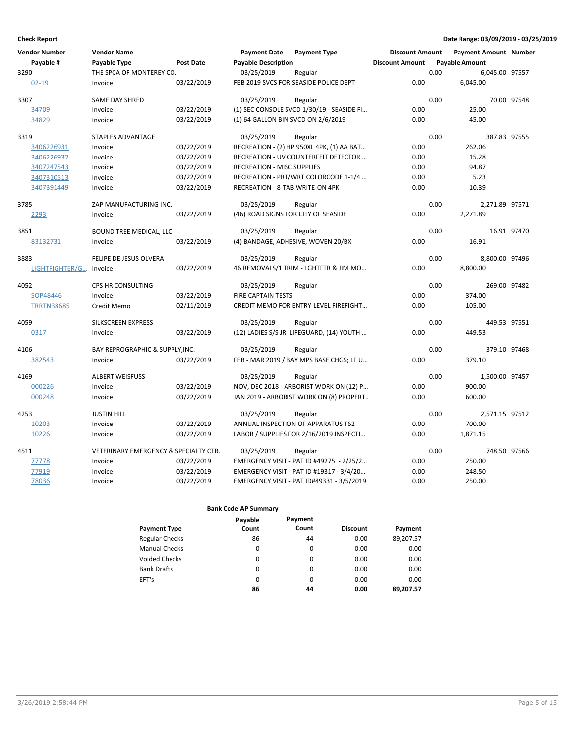| <b>Vendor Number</b> | <b>Vendor Name</b>                               |                  | <b>Payment Date</b>                    | <b>Payment Type</b>                       | <b>Discount Amount</b> |      | <b>Payment Amount Number</b> |             |
|----------------------|--------------------------------------------------|------------------|----------------------------------------|-------------------------------------------|------------------------|------|------------------------------|-------------|
| Payable #            | Payable Type                                     | <b>Post Date</b> | <b>Payable Description</b>             |                                           | <b>Discount Amount</b> |      | Payable Amount               |             |
| 3290                 | THE SPCA OF MONTEREY CO.                         |                  | 03/25/2019                             | Regular                                   |                        | 0.00 | 6,045.00 97557               |             |
| $02 - 19$            | Invoice                                          | 03/22/2019       |                                        | FEB 2019 SVCS FOR SEASIDE POLICE DEPT     | 0.00                   |      | 6,045.00                     |             |
| 3307                 | <b>SAME DAY SHRED</b>                            |                  | 03/25/2019                             | Regular                                   |                        | 0.00 |                              | 70.00 97548 |
| 34709                | Invoice                                          | 03/22/2019       |                                        | (1) SEC CONSOLE SVCD 1/30/19 - SEASIDE FI | 0.00                   |      | 25.00                        |             |
| 34829                | Invoice                                          | 03/22/2019       | (1) 64 GALLON BIN SVCD ON 2/6/2019     |                                           | 0.00                   |      | 45.00                        |             |
| 3319                 | STAPLES ADVANTAGE                                |                  | 03/25/2019                             | Regular                                   |                        | 0.00 | 387.83 97555                 |             |
| 3406226931           | Invoice                                          | 03/22/2019       |                                        | RECREATION - (2) HP 950XL 4PK, (1) AA BAT | 0.00                   |      | 262.06                       |             |
| 3406226932           | Invoice                                          | 03/22/2019       |                                        | RECREATION - UV COUNTERFEIT DETECTOR      | 0.00                   |      | 15.28                        |             |
| 3407247543           | Invoice                                          | 03/22/2019       | <b>RECREATION - MISC SUPPLIES</b>      |                                           | 0.00                   |      | 94.87                        |             |
| 3407310513           | Invoice                                          | 03/22/2019       |                                        | RECREATION - PRT/WRT COLORCODE 1-1/4      | 0.00                   |      | 5.23                         |             |
| 3407391449           | Invoice                                          | 03/22/2019       | <b>RECREATION - 8-TAB WRITE-ON 4PK</b> |                                           | 0.00                   |      | 10.39                        |             |
| 3785                 | ZAP MANUFACTURING INC.                           |                  | 03/25/2019                             | Regular                                   |                        | 0.00 | 2,271.89 97571               |             |
| 2293                 | Invoice                                          | 03/22/2019       |                                        | (46) ROAD SIGNS FOR CITY OF SEASIDE       | 0.00                   |      | 2,271.89                     |             |
| 3851                 | BOUND TREE MEDICAL, LLC                          |                  | 03/25/2019                             | Regular                                   |                        | 0.00 |                              | 16.91 97470 |
| 83132731             | Invoice                                          | 03/22/2019       |                                        | (4) BANDAGE, ADHESIVE, WOVEN 20/BX        | 0.00                   |      | 16.91                        |             |
| 3883                 | FELIPE DE JESUS OLVERA                           |                  | 03/25/2019                             | Regular                                   |                        | 0.00 | 8,800.00 97496               |             |
| LIGHTFIGHTER/G       | Invoice                                          | 03/22/2019       |                                        | 46 REMOVALS/1 TRIM - LGHTFTR & JIM MO     | 0.00                   |      | 8,800.00                     |             |
| 4052                 | CPS HR CONSULTING                                |                  | 03/25/2019                             | Regular                                   |                        | 0.00 | 269.00 97482                 |             |
| SOP48446             | Invoice                                          | 03/22/2019       | <b>FIRE CAPTAIN TESTS</b>              |                                           | 0.00                   |      | 374.00                       |             |
| <b>TRRTN38685</b>    | Credit Memo                                      | 02/11/2019       |                                        | CREDIT MEMO FOR ENTRY-LEVEL FIREFIGHT     | 0.00                   |      | $-105.00$                    |             |
| 4059                 | <b>SILKSCREEN EXPRESS</b>                        |                  | 03/25/2019                             | Regular                                   |                        | 0.00 | 449.53 97551                 |             |
| 0317                 | Invoice                                          | 03/22/2019       |                                        | (12) LADIES S/S JR. LIFEGUARD, (14) YOUTH | 0.00                   |      | 449.53                       |             |
| 4106                 | BAY REPROGRAPHIC & SUPPLY.INC.                   |                  | 03/25/2019                             | Regular                                   |                        | 0.00 | 379.10 97468                 |             |
| 382543               | Invoice                                          | 03/22/2019       |                                        | FEB - MAR 2019 / BAY MPS BASE CHGS; LF U  | 0.00                   |      | 379.10                       |             |
| 4169                 | <b>ALBERT WEISFUSS</b>                           |                  | 03/25/2019                             | Regular                                   |                        | 0.00 | 1,500.00 97457               |             |
| 000226               | Invoice                                          | 03/22/2019       |                                        | NOV, DEC 2018 - ARBORIST WORK ON (12) P   | 0.00                   |      | 900.00                       |             |
| 000248               | Invoice                                          | 03/22/2019       |                                        | JAN 2019 - ARBORIST WORK ON (8) PROPERT   | 0.00                   |      | 600.00                       |             |
| 4253                 | <b>JUSTIN HILL</b>                               |                  | 03/25/2019                             | Regular                                   |                        | 0.00 | 2,571.15 97512               |             |
| 10203                | Invoice                                          | 03/22/2019       |                                        | ANNUAL INSPECTION OF APPARATUS T62        | 0.00                   |      | 700.00                       |             |
| 10226                | Invoice                                          | 03/22/2019       |                                        | LABOR / SUPPLIES FOR 2/16/2019 INSPECTI   | 0.00                   |      | 1,871.15                     |             |
| 4511                 | <b>VETERINARY EMERGENCY &amp; SPECIALTY CTR.</b> |                  | 03/25/2019                             | Regular                                   |                        | 0.00 | 748.50 97566                 |             |
| 77778                | Invoice                                          | 03/22/2019       |                                        | EMERGENCY VISIT - PAT ID #49275 - 2/25/2  | 0.00                   |      | 250.00                       |             |
| 77919                | Invoice                                          | 03/22/2019       |                                        | EMERGENCY VISIT - PAT ID #19317 - 3/4/20  | 0.00                   |      | 248.50                       |             |
| 78036                | Invoice                                          | 03/22/2019       |                                        | EMERGENCY VISIT - PAT ID#49331 - 3/5/2019 | 0.00                   |      | 250.00                       |             |

| <b>Payment Type</b>   | Payable<br>Count | Payment<br>Count | <b>Discount</b> | Payment   |
|-----------------------|------------------|------------------|-----------------|-----------|
| <b>Regular Checks</b> | 86               | 44               | 0.00            | 89,207.57 |
| <b>Manual Checks</b>  | 0                | 0                | 0.00            | 0.00      |
| <b>Voided Checks</b>  | 0                | 0                | 0.00            | 0.00      |
| <b>Bank Drafts</b>    | $\Omega$         | $\Omega$         | 0.00            | 0.00      |
| EFT's                 | $\Omega$         | $\Omega$         | 0.00            | 0.00      |
|                       | 86               | 44               | 0.00            | 89.207.57 |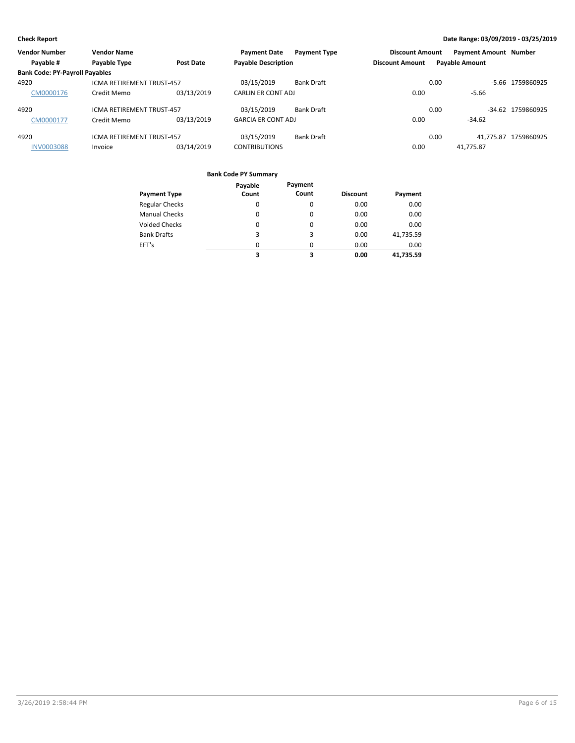| <b>Vendor Number</b>                  | <b>Vendor Name</b>               |                  | <b>Payment Date</b>        | <b>Payment Type</b> | <b>Discount Amount</b> | <b>Payment Amount Number</b> |                      |
|---------------------------------------|----------------------------------|------------------|----------------------------|---------------------|------------------------|------------------------------|----------------------|
| Payable #                             | Payable Type                     | <b>Post Date</b> | <b>Payable Description</b> |                     | <b>Discount Amount</b> | <b>Payable Amount</b>        |                      |
| <b>Bank Code: PY-Payroll Payables</b> |                                  |                  |                            |                     |                        |                              |                      |
| 4920                                  | ICMA RETIREMENT TRUST-457        |                  | 03/15/2019                 | Bank Draft          |                        | 0.00                         | -5.66 1759860925     |
| CM0000176                             | Credit Memo                      | 03/13/2019       | CARLIN ER CONT ADJ         |                     | 0.00                   | $-5.66$                      |                      |
| 4920                                  | <b>ICMA RETIREMENT TRUST-457</b> |                  | 03/15/2019                 | <b>Bank Draft</b>   |                        | 0.00                         | -34.62 1759860925    |
| CM0000177                             | Credit Memo                      | 03/13/2019       | <b>GARCIA ER CONT ADJ</b>  |                     | 0.00                   | $-34.62$                     |                      |
| 4920                                  | <b>ICMA RETIREMENT TRUST-457</b> |                  | 03/15/2019                 | Bank Draft          |                        | 0.00                         | 41.775.87 1759860925 |
| <b>INV0003088</b>                     | Invoice                          | 03/14/2019       | <b>CONTRIBUTIONS</b>       |                     | 0.00                   | 41.775.87                    |                      |

| <b>Payment Type</b>   | Payable<br>Count | Payment<br>Count | <b>Discount</b> | Payment   |
|-----------------------|------------------|------------------|-----------------|-----------|
|                       |                  |                  |                 |           |
| <b>Regular Checks</b> | 0                | 0                | 0.00            | 0.00      |
| <b>Manual Checks</b>  | 0                | 0                | 0.00            | 0.00      |
| Voided Checks         | 0                | 0                | 0.00            | 0.00      |
| <b>Bank Drafts</b>    | 3                | 3                | 0.00            | 41,735.59 |
| EFT's                 | $\Omega$         | 0                | 0.00            | 0.00      |
|                       | 3                | 3                | 0.00            | 41.735.59 |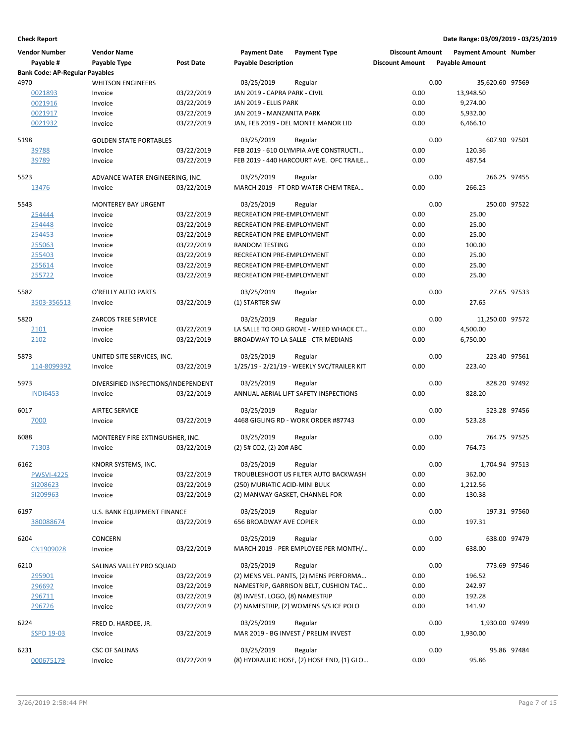| <b>Vendor Number</b><br>Payable #     | <b>Vendor Name</b><br>Payable Type  | Post Date  | <b>Payment Date</b><br><b>Payable Description</b> | <b>Payment Type</b>                             | <b>Discount Amount</b><br><b>Discount Amount</b> |      | <b>Payment Amount Number</b><br><b>Payable Amount</b> |             |
|---------------------------------------|-------------------------------------|------------|---------------------------------------------------|-------------------------------------------------|--------------------------------------------------|------|-------------------------------------------------------|-------------|
| <b>Bank Code: AP-Regular Payables</b> |                                     |            |                                                   |                                                 |                                                  |      |                                                       |             |
| 4970                                  | <b>WHITSON ENGINEERS</b>            |            | 03/25/2019                                        | Regular                                         |                                                  | 0.00 | 35,620.60 97569                                       |             |
| 0021893                               | Invoice                             | 03/22/2019 | JAN 2019 - CAPRA PARK - CIVIL                     |                                                 | 0.00                                             |      | 13,948.50                                             |             |
| 0021916                               | Invoice                             | 03/22/2019 | JAN 2019 - ELLIS PARK                             |                                                 | 0.00                                             |      | 9,274.00                                              |             |
| 0021917                               | Invoice                             | 03/22/2019 | JAN 2019 - MANZANITA PARK                         |                                                 | 0.00                                             |      | 5,932.00                                              |             |
| 0021932                               | Invoice                             | 03/22/2019 |                                                   | JAN, FEB 2019 - DEL MONTE MANOR LID             | 0.00                                             |      | 6,466.10                                              |             |
| 5198                                  | <b>GOLDEN STATE PORTABLES</b>       |            | 03/25/2019                                        | Regular                                         |                                                  | 0.00 | 607.90 97501                                          |             |
| 39788                                 | Invoice                             | 03/22/2019 |                                                   | FEB 2019 - 610 OLYMPIA AVE CONSTRUCTI           | 0.00                                             |      | 120.36                                                |             |
| 39789                                 | Invoice                             | 03/22/2019 |                                                   | FEB 2019 - 440 HARCOURT AVE. OFC TRAILE         | 0.00                                             |      | 487.54                                                |             |
| 5523                                  | ADVANCE WATER ENGINEERING, INC.     |            | 03/25/2019                                        | Regular                                         |                                                  | 0.00 | 266.25 97455                                          |             |
| 13476                                 | Invoice                             | 03/22/2019 |                                                   | MARCH 2019 - FT ORD WATER CHEM TREA             | 0.00                                             |      | 266.25                                                |             |
| 5543                                  | <b>MONTEREY BAY URGENT</b>          |            | 03/25/2019                                        | Regular                                         |                                                  | 0.00 | 250.00 97522                                          |             |
| 254444                                | Invoice                             | 03/22/2019 | RECREATION PRE-EMPLOYMENT                         |                                                 | 0.00                                             |      | 25.00                                                 |             |
| 254448                                | Invoice                             | 03/22/2019 | RECREATION PRE-EMPLOYMENT                         |                                                 | 0.00                                             |      | 25.00                                                 |             |
| 254453                                | Invoice                             | 03/22/2019 | RECREATION PRE-EMPLOYMENT                         |                                                 | 0.00                                             |      | 25.00                                                 |             |
| 255063                                | Invoice                             | 03/22/2019 | <b>RANDOM TESTING</b>                             |                                                 | 0.00                                             |      | 100.00                                                |             |
| 255403                                | Invoice                             | 03/22/2019 | RECREATION PRE-EMPLOYMENT                         |                                                 | 0.00                                             |      | 25.00                                                 |             |
| 255614                                | Invoice                             | 03/22/2019 | RECREATION PRE-EMPLOYMENT                         |                                                 | 0.00                                             |      | 25.00                                                 |             |
| 255722                                | Invoice                             | 03/22/2019 | RECREATION PRE-EMPLOYMENT                         |                                                 | 0.00                                             |      | 25.00                                                 |             |
|                                       |                                     |            |                                                   |                                                 |                                                  |      |                                                       |             |
| 5582                                  | O'REILLY AUTO PARTS                 |            | 03/25/2019                                        | Regular                                         |                                                  | 0.00 |                                                       | 27.65 97533 |
| 3503-356513                           | Invoice                             | 03/22/2019 | (1) STARTER SW                                    |                                                 | 0.00                                             |      | 27.65                                                 |             |
| 5820                                  | <b>ZARCOS TREE SERVICE</b>          |            | 03/25/2019                                        | Regular                                         |                                                  | 0.00 | 11,250.00 97572                                       |             |
| 2101                                  | Invoice                             | 03/22/2019 |                                                   | LA SALLE TO ORD GROVE - WEED WHACK CT           | 0.00                                             |      | 4,500.00                                              |             |
| 2102                                  | Invoice                             | 03/22/2019 |                                                   | BROADWAY TO LA SALLE - CTR MEDIANS              | 0.00                                             |      | 6,750.00                                              |             |
| 5873                                  | UNITED SITE SERVICES, INC.          |            | 03/25/2019                                        | Regular                                         |                                                  | 0.00 | 223.40 97561                                          |             |
| 114-8099392                           | Invoice                             | 03/22/2019 |                                                   | 1/25/19 - 2/21/19 - WEEKLY SVC/TRAILER KIT      | 0.00                                             |      | 223.40                                                |             |
| 5973                                  | DIVERSIFIED INSPECTIONS/INDEPENDENT |            | 03/25/2019                                        | Regular                                         |                                                  | 0.00 | 828.20 97492                                          |             |
| <b>INDI6453</b>                       | Invoice                             | 03/22/2019 |                                                   | ANNUAL AERIAL LIFT SAFETY INSPECTIONS           | 0.00                                             |      | 828.20                                                |             |
|                                       |                                     |            |                                                   |                                                 |                                                  |      |                                                       |             |
| 6017                                  | <b>AIRTEC SERVICE</b>               |            | 03/25/2019                                        | Regular                                         |                                                  | 0.00 | 523.28 97456                                          |             |
| 7000                                  | Invoice                             | 03/22/2019 |                                                   | 4468 GIGLING RD - WORK ORDER #87743             | 0.00                                             |      | 523.28                                                |             |
| 6088                                  | MONTEREY FIRE EXTINGUISHER, INC.    |            | 03/25/2019                                        | Regular                                         |                                                  | 0.00 | 764.75 97525                                          |             |
| 71303                                 | Invoice                             | 03/22/2019 | (2) 5# CO2, (2) 20# ABC                           |                                                 | 0.00                                             |      | 764.75                                                |             |
| 6162                                  | KNORR SYSTEMS, INC.                 |            | 03/25/2019                                        | Regular                                         |                                                  | 0.00 | 1,704.94 97513                                        |             |
| <b>PWSVI-4225</b>                     | Invoice                             | 03/22/2019 |                                                   | TROUBLESHOOT US FILTER AUTO BACKWASH            | 0.00                                             |      | 362.00                                                |             |
| SI208623                              | Invoice                             | 03/22/2019 | (250) MURIATIC ACID-MINI BULK                     |                                                 | 0.00                                             |      | 1,212.56                                              |             |
| SI209963                              | Invoice                             | 03/22/2019 | (2) MANWAY GASKET, CHANNEL FOR                    |                                                 | 0.00                                             |      | 130.38                                                |             |
| 6197                                  | U.S. BANK EQUIPMENT FINANCE         |            | 03/25/2019                                        | Regular                                         |                                                  | 0.00 | 197.31 97560                                          |             |
| 380088674                             | Invoice                             | 03/22/2019 | 656 BROADWAY AVE COPIER                           |                                                 | 0.00                                             |      | 197.31                                                |             |
|                                       |                                     |            |                                                   |                                                 |                                                  |      |                                                       |             |
| 6204<br>CN1909028                     | <b>CONCERN</b><br>Invoice           | 03/22/2019 | 03/25/2019                                        | Regular<br>MARCH 2019 - PER EMPLOYEE PER MONTH/ | 0.00                                             | 0.00 | 638.00 97479<br>638.00                                |             |
|                                       |                                     |            |                                                   |                                                 |                                                  |      |                                                       |             |
| 6210                                  | SALINAS VALLEY PRO SQUAD            |            | 03/25/2019                                        | Regular                                         |                                                  | 0.00 | 773.69 97546                                          |             |
| 295901                                | Invoice                             | 03/22/2019 |                                                   | (2) MENS VEL. PANTS, (2) MENS PERFORMA          | 0.00                                             |      | 196.52                                                |             |
| 296692                                | Invoice                             | 03/22/2019 |                                                   | NAMESTRIP, GARRISON BELT, CUSHION TAC           | 0.00                                             |      | 242.97                                                |             |
| 296711                                | Invoice                             | 03/22/2019 | (8) INVEST. LOGO, (8) NAMESTRIP                   |                                                 | 0.00                                             |      | 192.28                                                |             |
| 296726                                | Invoice                             | 03/22/2019 |                                                   | (2) NAMESTRIP, (2) WOMENS S/SICE POLO           | 0.00                                             |      | 141.92                                                |             |
| 6224                                  | FRED D. HARDEE, JR.                 |            | 03/25/2019                                        | Regular                                         |                                                  | 0.00 | 1,930.00 97499                                        |             |
| <b>SSPD 19-03</b>                     | Invoice                             | 03/22/2019 |                                                   | MAR 2019 - BG INVEST / PRELIM INVEST            | 0.00                                             |      | 1,930.00                                              |             |
| 6231                                  | <b>CSC OF SALINAS</b>               |            | 03/25/2019                                        | Regular                                         |                                                  | 0.00 |                                                       | 95.86 97484 |
| 000675179                             | Invoice                             | 03/22/2019 |                                                   | (8) HYDRAULIC HOSE, (2) HOSE END, (1) GLO       | 0.00                                             |      | 95.86                                                 |             |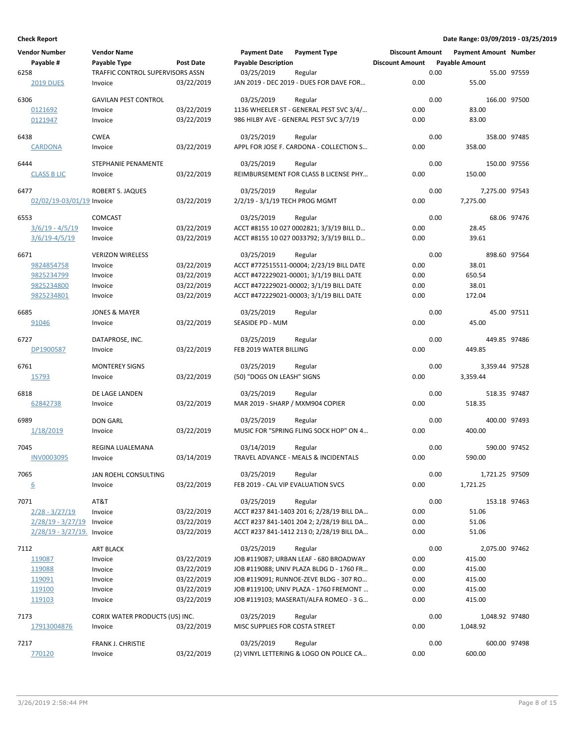| <b>Vendor Number</b>          | <b>Vendor Name</b>               |            | <b>Payment Date</b>                | <b>Payment Type</b>                                  | <b>Discount Amount</b> |      | <b>Payment Amount Number</b> |             |
|-------------------------------|----------------------------------|------------|------------------------------------|------------------------------------------------------|------------------------|------|------------------------------|-------------|
| Payable #                     | Payable Type                     | Post Date  | <b>Payable Description</b>         |                                                      | <b>Discount Amount</b> |      | <b>Payable Amount</b>        |             |
| 6258                          | TRAFFIC CONTROL SUPERVISORS ASSN |            | 03/25/2019                         | Regular                                              |                        | 0.00 |                              | 55.00 97559 |
| <b>2019 DUES</b>              | Invoice                          | 03/22/2019 |                                    | JAN 2019 - DEC 2019 - DUES FOR DAVE FOR              | 0.00                   |      | 55.00                        |             |
| 6306                          | <b>GAVILAN PEST CONTROL</b>      |            | 03/25/2019                         | Regular                                              |                        | 0.00 | 166.00 97500                 |             |
| 0121692                       | Invoice                          | 03/22/2019 |                                    | 1136 WHEELER ST - GENERAL PEST SVC 3/4/              | 0.00                   |      | 83.00                        |             |
| 0121947                       | Invoice                          | 03/22/2019 |                                    | 986 HILBY AVE - GENERAL PEST SVC 3/7/19              | 0.00                   |      | 83.00                        |             |
| 6438                          | <b>CWEA</b>                      |            | 03/25/2019                         | Regular                                              |                        | 0.00 | 358.00 97485                 |             |
| <b>CARDONA</b>                | Invoice                          | 03/22/2019 |                                    | APPL FOR JOSE F. CARDONA - COLLECTION S              | 0.00                   |      | 358.00                       |             |
|                               |                                  |            |                                    |                                                      |                        |      |                              |             |
| 6444                          | <b>STEPHANIE PENAMENTE</b>       |            | 03/25/2019                         | Regular                                              |                        | 0.00 | 150.00 97556                 |             |
| <b>CLASS B LIC</b>            | Invoice                          | 03/22/2019 |                                    | REIMBURSEMENT FOR CLASS B LICENSE PHY                | 0.00                   |      | 150.00                       |             |
| 6477                          | ROBERT S. JAQUES                 |            | 03/25/2019                         | Regular                                              |                        | 0.00 | 7,275.00 97543               |             |
| 02/02/19-03/01/19 Invoice     |                                  | 03/22/2019 | 2/2/19 - 3/1/19 TECH PROG MGMT     |                                                      | 0.00                   |      | 7,275.00                     |             |
| 6553                          | <b>COMCAST</b>                   |            | 03/25/2019                         | Regular                                              |                        | 0.00 |                              | 68.06 97476 |
| $3/6/19 - 4/5/19$             | Invoice                          | 03/22/2019 |                                    | ACCT #8155 10 027 0002821; 3/3/19 BILL D             | 0.00                   |      | 28.45                        |             |
| $3/6/19 - 4/5/19$             | Invoice                          | 03/22/2019 |                                    | ACCT #8155 10 027 0033792; 3/3/19 BILL D             | 0.00                   |      | 39.61                        |             |
|                               |                                  |            |                                    |                                                      |                        |      |                              |             |
| 6671                          | <b>VERIZON WIRELESS</b>          |            | 03/25/2019                         | Regular                                              |                        | 0.00 | 898.60 97564                 |             |
| 9824854758                    | Invoice                          | 03/22/2019 |                                    | ACCT #772515511-00004; 2/23/19 BILL DATE             | 0.00                   |      | 38.01                        |             |
| 9825234799                    | Invoice                          | 03/22/2019 |                                    | ACCT #472229021-00001; 3/1/19 BILL DATE              | 0.00                   |      | 650.54                       |             |
| 9825234800                    | Invoice                          | 03/22/2019 |                                    | ACCT #472229021-00002; 3/1/19 BILL DATE              | 0.00                   |      | 38.01                        |             |
| 9825234801                    | Invoice                          | 03/22/2019 |                                    | ACCT #472229021-00003; 3/1/19 BILL DATE              | 0.00                   |      | 172.04                       |             |
| 6685                          | <b>JONES &amp; MAYER</b>         |            | 03/25/2019                         | Regular                                              |                        | 0.00 |                              | 45.00 97511 |
| 91046                         | Invoice                          | 03/22/2019 | SEASIDE PD - MJM                   |                                                      | 0.00                   |      | 45.00                        |             |
| 6727                          | DATAPROSE, INC.                  |            | 03/25/2019                         | Regular                                              |                        | 0.00 | 449.85 97486                 |             |
| DP1900587                     | Invoice                          | 03/22/2019 | FEB 2019 WATER BILLING             |                                                      | 0.00                   |      | 449.85                       |             |
|                               |                                  |            |                                    |                                                      |                        |      |                              |             |
| 6761                          | <b>MONTEREY SIGNS</b>            |            | 03/25/2019                         | Regular                                              |                        | 0.00 | 3,359.44 97528               |             |
| 15793                         | Invoice                          | 03/22/2019 | (50) "DOGS ON LEASH" SIGNS         |                                                      | 0.00                   |      | 3,359.44                     |             |
| 6818                          | DE LAGE LANDEN                   |            | 03/25/2019                         | Regular                                              |                        | 0.00 | 518.35 97487                 |             |
| 62842738                      | Invoice                          | 03/22/2019 | MAR 2019 - SHARP / MXM904 COPIER   |                                                      | 0.00                   |      | 518.35                       |             |
| 6989                          | <b>DON GARL</b>                  |            |                                    |                                                      |                        | 0.00 | 400.00 97493                 |             |
| 1/18/2019                     | Invoice                          | 03/22/2019 | 03/25/2019                         | Regular<br>MUSIC FOR "SPRING FLING SOCK HOP" ON 4    | 0.00                   |      | 400.00                       |             |
|                               |                                  |            |                                    |                                                      |                        |      |                              |             |
| 7045                          | REGINA LUALEMANA                 |            | 03/14/2019                         | Regular                                              |                        | 0.00 | 590.00 97452                 |             |
| <b>INV0003095</b>             | Invoice                          | 03/14/2019 |                                    | TRAVEL ADVANCE - MEALS & INCIDENTALS                 | 0.00                   |      | 590.00                       |             |
| 7065                          | JAN ROEHL CONSULTING             |            | 03/25/2019                         | Regular                                              |                        | 0.00 | 1,721.25 97509               |             |
| 6                             | Invoice                          | 03/22/2019 | FEB 2019 - CAL VIP EVALUATION SVCS |                                                      | 0.00                   |      | 1,721.25                     |             |
|                               |                                  |            |                                    |                                                      |                        |      |                              |             |
| 7071<br>$2/28 - 3/27/19$      | AT&T<br>Invoice                  | 03/22/2019 | 03/25/2019                         | Regular<br>ACCT #237 841-1403 201 6; 2/28/19 BILL DA | 0.00                   | 0.00 | 153.18 97463<br>51.06        |             |
| $2/28/19 - 3/27/19$           | Invoice                          | 03/22/2019 |                                    | ACCT #237 841-1401 204 2; 2/28/19 BILL DA            | 0.00                   |      | 51.06                        |             |
| $2/28/19 - 3/27/19$ . Invoice |                                  | 03/22/2019 |                                    | ACCT #237 841-1412 213 0; 2/28/19 BILL DA            | 0.00                   |      | 51.06                        |             |
|                               |                                  |            |                                    |                                                      |                        |      |                              |             |
| 7112                          | <b>ART BLACK</b>                 |            | 03/25/2019                         | Regular                                              |                        | 0.00 | 2,075.00 97462               |             |
| 119087                        | Invoice                          | 03/22/2019 |                                    | JOB #119087; URBAN LEAF - 680 BROADWAY               | 0.00                   |      | 415.00                       |             |
| 119088                        | Invoice                          | 03/22/2019 |                                    | JOB #119088; UNIV PLAZA BLDG D - 1760 FR             | 0.00                   |      | 415.00                       |             |
| 119091                        | Invoice                          | 03/22/2019 |                                    | JOB #119091; RUNNOE-ZEVE BLDG - 307 RO               | 0.00                   |      | 415.00                       |             |
| 119100                        | Invoice                          | 03/22/2019 |                                    | JOB #119100; UNIV PLAZA - 1760 FREMONT               | 0.00                   |      | 415.00                       |             |
| 119103                        | Invoice                          | 03/22/2019 |                                    | JOB #119103; MASERATI/ALFA ROMEO - 3 G               | 0.00                   |      | 415.00                       |             |
| 7173                          | CORIX WATER PRODUCTS (US) INC.   |            | 03/25/2019                         | Regular                                              |                        | 0.00 | 1,048.92 97480               |             |
| 17913004876                   | Invoice                          | 03/22/2019 | MISC SUPPLIES FOR COSTA STREET     |                                                      | 0.00                   |      | 1,048.92                     |             |
| 7217                          | FRANK J. CHRISTIE                |            | 03/25/2019                         | Regular                                              |                        | 0.00 | 600.00 97498                 |             |
| 770120                        | Invoice                          | 03/22/2019 |                                    | (2) VINYL LETTERING & LOGO ON POLICE CA              | 0.00                   |      | 600.00                       |             |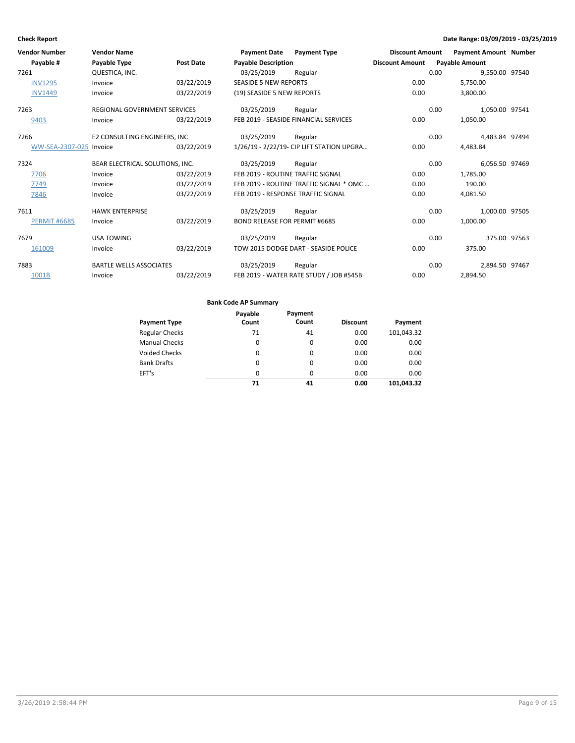| <b>Vendor Number</b> | <b>Vendor Name</b>                  |                  | <b>Payment Date</b>                  | <b>Payment Type</b>                        | <b>Discount Amount</b> |      | <b>Payment Amount Number</b> |  |
|----------------------|-------------------------------------|------------------|--------------------------------------|--------------------------------------------|------------------------|------|------------------------------|--|
| Payable #            | Payable Type                        | <b>Post Date</b> | <b>Payable Description</b>           |                                            | <b>Discount Amount</b> |      | <b>Payable Amount</b>        |  |
| 7261                 | QUESTICA, INC.                      |                  | 03/25/2019                           | Regular                                    |                        | 0.00 | 9,550.00 97540               |  |
| <b>INV1295</b>       | Invoice                             | 03/22/2019       | <b>SEASIDE 5 NEW REPORTS</b>         |                                            | 0.00                   |      | 5,750.00                     |  |
| <b>INV1449</b>       | Invoice                             | 03/22/2019       | (19) SEASIDE 5 NEW REPORTS           |                                            | 0.00                   |      | 3,800.00                     |  |
| 7263                 | <b>REGIONAL GOVERNMENT SERVICES</b> |                  | 03/25/2019                           | Regular                                    |                        | 0.00 | 1,050.00 97541               |  |
| 9403                 | Invoice                             | 03/22/2019       |                                      | FEB 2019 - SEASIDE FINANCIAL SERVICES      | 0.00                   |      | 1,050.00                     |  |
| 7266                 | E2 CONSULTING ENGINEERS, INC        |                  | 03/25/2019                           | Regular                                    |                        | 0.00 | 4,483.84 97494               |  |
| WW-SEA-2307-025      | Invoice                             | 03/22/2019       |                                      | 1/26/19 - 2/22/19 - CIP LIFT STATION UPGRA | 0.00                   |      | 4,483.84                     |  |
| 7324                 | BEAR ELECTRICAL SOLUTIONS, INC.     |                  | 03/25/2019                           | Regular                                    |                        | 0.00 | 6,056.50 97469               |  |
| 7706                 | Invoice                             | 03/22/2019       | FEB 2019 - ROUTINE TRAFFIC SIGNAL    |                                            | 0.00                   |      | 1,785.00                     |  |
| 7749                 | Invoice                             | 03/22/2019       |                                      | FEB 2019 - ROUTINE TRAFFIC SIGNAL * OMC    | 0.00                   |      | 190.00                       |  |
| 7846                 | Invoice                             | 03/22/2019       | FEB 2019 - RESPONSE TRAFFIC SIGNAL   |                                            | 0.00                   |      | 4,081.50                     |  |
| 7611                 | <b>HAWK ENTERPRISE</b>              |                  | 03/25/2019                           | Regular                                    |                        | 0.00 | 1,000.00 97505               |  |
| <b>PERMIT #6685</b>  | Invoice                             | 03/22/2019       | <b>BOND RELEASE FOR PERMIT #6685</b> |                                            | 0.00                   |      | 1,000.00                     |  |
| 7679                 | <b>USA TOWING</b>                   |                  | 03/25/2019                           | Regular                                    |                        | 0.00 | 375.00 97563                 |  |
| 161009               | Invoice                             | 03/22/2019       |                                      | TOW 2015 DODGE DART - SEASIDE POLICE       | 0.00                   |      | 375.00                       |  |
| 7883                 | <b>BARTLE WELLS ASSOCIATES</b>      |                  | 03/25/2019                           | Regular                                    |                        | 0.00 | 2,894.50 97467               |  |
| 1001B                | Invoice                             | 03/22/2019       |                                      | FEB 2019 - WATER RATE STUDY / JOB #545B    | 0.00                   |      | 2,894.50                     |  |

|                       | Payable  | Payment  |                 |            |
|-----------------------|----------|----------|-----------------|------------|
| <b>Payment Type</b>   | Count    | Count    | <b>Discount</b> | Payment    |
| <b>Regular Checks</b> | 71       | 41       | 0.00            | 101,043.32 |
| <b>Manual Checks</b>  | 0        | 0        | 0.00            | 0.00       |
| <b>Voided Checks</b>  | $\Omega$ | $\Omega$ | 0.00            | 0.00       |
| <b>Bank Drafts</b>    | $\Omega$ | $\Omega$ | 0.00            | 0.00       |
| EFT's                 | $\Omega$ | $\Omega$ | 0.00            | 0.00       |
|                       | 71       | 41       | 0.00            | 101.043.32 |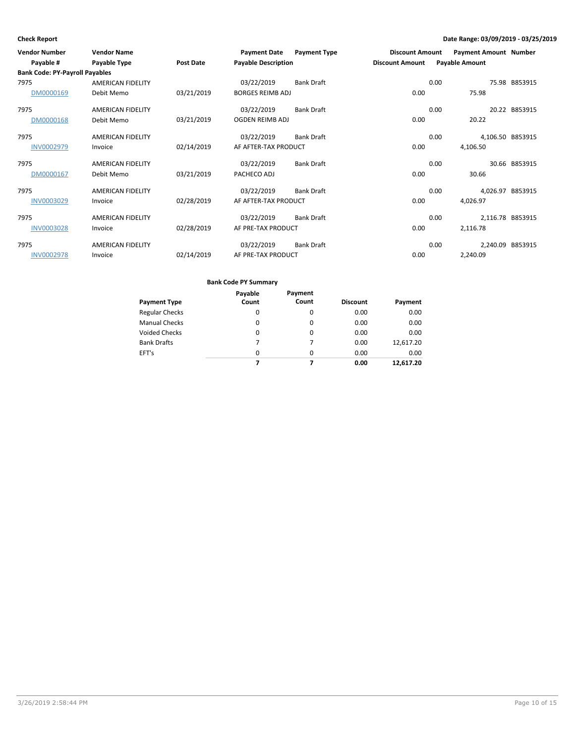| <b>Vendor Number</b>                  | <b>Vendor Name</b>       |            | <b>Payment Date</b>        | <b>Payment Type</b> | <b>Discount Amount</b> |      | <b>Payment Amount Number</b> |               |
|---------------------------------------|--------------------------|------------|----------------------------|---------------------|------------------------|------|------------------------------|---------------|
| Payable #                             | Payable Type             | Post Date  | <b>Payable Description</b> |                     | <b>Discount Amount</b> |      | <b>Payable Amount</b>        |               |
| <b>Bank Code: PY-Payroll Payables</b> |                          |            |                            |                     |                        |      |                              |               |
| 7975                                  | <b>AMERICAN FIDELITY</b> |            | 03/22/2019                 | <b>Bank Draft</b>   |                        | 0.00 |                              | 75.98 B853915 |
| DM0000169                             | Debit Memo               | 03/21/2019 | <b>BORGES REIMB ADJ</b>    |                     | 0.00                   |      | 75.98                        |               |
| 7975                                  | <b>AMERICAN FIDELITY</b> |            | 03/22/2019                 | <b>Bank Draft</b>   |                        | 0.00 |                              | 20.22 B853915 |
| DM0000168                             | Debit Memo               | 03/21/2019 | OGDEN REIMB ADJ            |                     | 0.00                   |      | 20.22                        |               |
| 7975                                  | <b>AMERICAN FIDELITY</b> |            | 03/22/2019                 | <b>Bank Draft</b>   |                        | 0.00 | 4,106.50 B853915             |               |
| <b>INV0002979</b>                     | Invoice                  | 02/14/2019 | AF AFTER-TAX PRODUCT       |                     | 0.00                   |      | 4,106.50                     |               |
| 7975                                  | <b>AMERICAN FIDELITY</b> |            | 03/22/2019                 | <b>Bank Draft</b>   |                        | 0.00 |                              | 30.66 B853915 |
| DM0000167                             | Debit Memo               | 03/21/2019 | PACHECO ADJ                |                     | 0.00                   |      | 30.66                        |               |
| 7975                                  | <b>AMERICAN FIDELITY</b> |            | 03/22/2019                 | <b>Bank Draft</b>   |                        | 0.00 | 4,026.97 B853915             |               |
| <b>INV0003029</b>                     | Invoice                  | 02/28/2019 | AF AFTER-TAX PRODUCT       |                     | 0.00                   |      | 4,026.97                     |               |
| 7975                                  | <b>AMERICAN FIDELITY</b> |            | 03/22/2019                 | <b>Bank Draft</b>   |                        | 0.00 | 2,116.78 B853915             |               |
| <b>INV0003028</b>                     | Invoice                  | 02/28/2019 | AF PRE-TAX PRODUCT         |                     | 0.00                   |      | 2,116.78                     |               |
| 7975                                  | <b>AMERICAN FIDELITY</b> |            | 03/22/2019                 | <b>Bank Draft</b>   |                        | 0.00 | 2,240.09 B853915             |               |
| <b>INV0002978</b>                     | Invoice                  | 02/14/2019 | AF PRE-TAX PRODUCT         |                     | 0.00                   |      | 2,240.09                     |               |

| Payment Type       | Payable<br>Count | Payment<br>Count | <b>Discount</b> | Payment   |
|--------------------|------------------|------------------|-----------------|-----------|
| Regular Checks     | 0                | $\Omega$         | 0.00            | 0.00      |
| Manual Checks      | 0                | $\Omega$         | 0.00            | 0.00      |
| Voided Checks      | 0                | $\Omega$         | 0.00            | 0.00      |
| <b>Bank Drafts</b> | 7                | 7                | 0.00            | 12,617.20 |
| EFT's              | $\Omega$         | $\Omega$         | 0.00            | 0.00      |
|                    | 7                | 7                | 0.00            | 12.617.20 |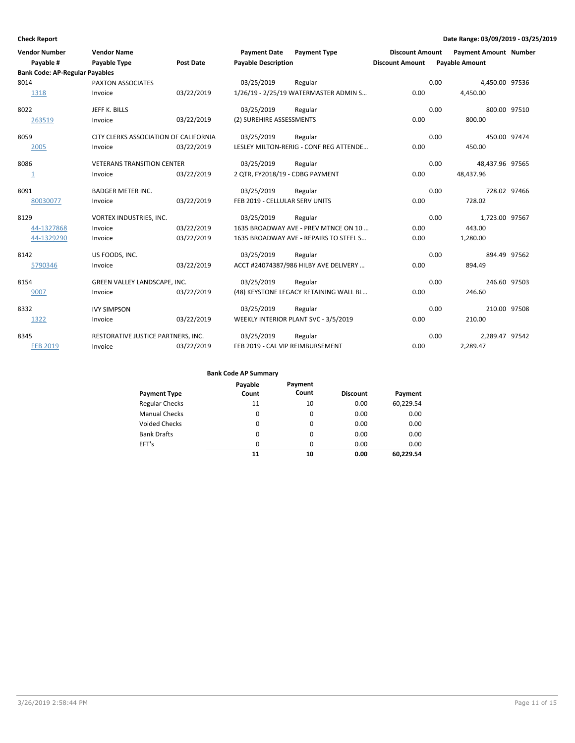| <b>Vendor Number</b><br>Payable #<br><b>Bank Code: AP-Regular Payables</b> | <b>Vendor Name</b><br>Payable Type    | <b>Post Date</b> | <b>Payment Date</b><br><b>Payable Description</b> | <b>Payment Type</b>                    | <b>Discount Amount</b><br><b>Discount Amount</b> |      | <b>Payment Amount Number</b><br><b>Payable Amount</b> |  |
|----------------------------------------------------------------------------|---------------------------------------|------------------|---------------------------------------------------|----------------------------------------|--------------------------------------------------|------|-------------------------------------------------------|--|
| 8014                                                                       | PAXTON ASSOCIATES                     |                  | 03/25/2019                                        | Regular                                |                                                  | 0.00 | 4,450.00 97536                                        |  |
| 1318                                                                       | Invoice                               | 03/22/2019       |                                                   | 1/26/19 - 2/25/19 WATERMASTER ADMIN S  | 0.00                                             |      | 4,450.00                                              |  |
| 8022                                                                       | JEFF K. BILLS                         |                  | 03/25/2019                                        | Regular                                |                                                  | 0.00 | 800.00 97510                                          |  |
| 263519                                                                     | Invoice                               | 03/22/2019       | (2) SUREHIRE ASSESSMENTS                          |                                        | 0.00                                             |      | 800.00                                                |  |
| 8059                                                                       | CITY CLERKS ASSOCIATION OF CALIFORNIA |                  | 03/25/2019                                        | Regular                                |                                                  | 0.00 | 450.00 97474                                          |  |
| 2005                                                                       | Invoice                               | 03/22/2019       |                                                   | LESLEY MILTON-RERIG - CONF REG ATTENDE | 0.00                                             |      | 450.00                                                |  |
| 8086                                                                       | <b>VETERANS TRANSITION CENTER</b>     |                  | 03/25/2019                                        | Regular                                |                                                  | 0.00 | 48,437.96 97565                                       |  |
| $\overline{\mathbf{1}}$                                                    | Invoice                               | 03/22/2019       | 2 QTR, FY2018/19 - CDBG PAYMENT                   |                                        | 0.00                                             |      | 48,437.96                                             |  |
| 8091                                                                       | <b>BADGER METER INC.</b>              |                  | 03/25/2019                                        | Regular                                |                                                  | 0.00 | 728.02 97466                                          |  |
| 80030077                                                                   | Invoice                               | 03/22/2019       | FEB 2019 - CELLULAR SERV UNITS                    |                                        | 0.00                                             |      | 728.02                                                |  |
| 8129                                                                       | VORTEX INDUSTRIES, INC.               |                  | 03/25/2019                                        | Regular                                |                                                  | 0.00 | 1,723.00 97567                                        |  |
| 44-1327868                                                                 | Invoice                               | 03/22/2019       |                                                   | 1635 BROADWAY AVE - PREV MTNCE ON 10   | 0.00                                             |      | 443.00                                                |  |
| 44-1329290                                                                 | Invoice                               | 03/22/2019       |                                                   | 1635 BROADWAY AVE - REPAIRS TO STEEL S | 0.00                                             |      | 1,280.00                                              |  |
| 8142                                                                       | US FOODS, INC.                        |                  | 03/25/2019                                        | Regular                                |                                                  | 0.00 | 894.49 97562                                          |  |
| 5790346                                                                    | Invoice                               | 03/22/2019       |                                                   | ACCT #24074387/986 HILBY AVE DELIVERY  | 0.00                                             |      | 894.49                                                |  |
| 8154                                                                       | GREEN VALLEY LANDSCAPE, INC.          |                  | 03/25/2019                                        | Regular                                |                                                  | 0.00 | 246.60 97503                                          |  |
| 9007                                                                       | Invoice                               | 03/22/2019       |                                                   | (48) KEYSTONE LEGACY RETAINING WALL BL | 0.00                                             |      | 246.60                                                |  |
| 8332                                                                       | <b>IVY SIMPSON</b>                    |                  | 03/25/2019                                        | Regular                                |                                                  | 0.00 | 210.00 97508                                          |  |
| 1322                                                                       | Invoice                               | 03/22/2019       |                                                   | WEEKLY INTERIOR PLANT SVC - 3/5/2019   | 0.00                                             |      | 210.00                                                |  |
| 8345                                                                       | RESTORATIVE JUSTICE PARTNERS, INC.    |                  | 03/25/2019                                        | Regular                                |                                                  | 0.00 | 2,289.47 97542                                        |  |
| <b>FEB 2019</b>                                                            | Invoice                               | 03/22/2019       | FEB 2019 - CAL VIP REIMBURSEMENT                  |                                        | 0.00                                             |      | 2,289.47                                              |  |

| Payment Type          | Payable<br>Count | Payment<br>Count | <b>Discount</b> | Payment   |
|-----------------------|------------------|------------------|-----------------|-----------|
| <b>Regular Checks</b> | 11               | 10               | 0.00            | 60,229.54 |
| <b>Manual Checks</b>  | 0                | 0                | 0.00            | 0.00      |
| Voided Checks         | 0                | $\Omega$         | 0.00            | 0.00      |
| <b>Bank Drafts</b>    | 0                | 0                | 0.00            | 0.00      |
| EFT's                 | 0                | 0                | 0.00            | 0.00      |
|                       | 11               | 10               | 0.00            | 60.229.54 |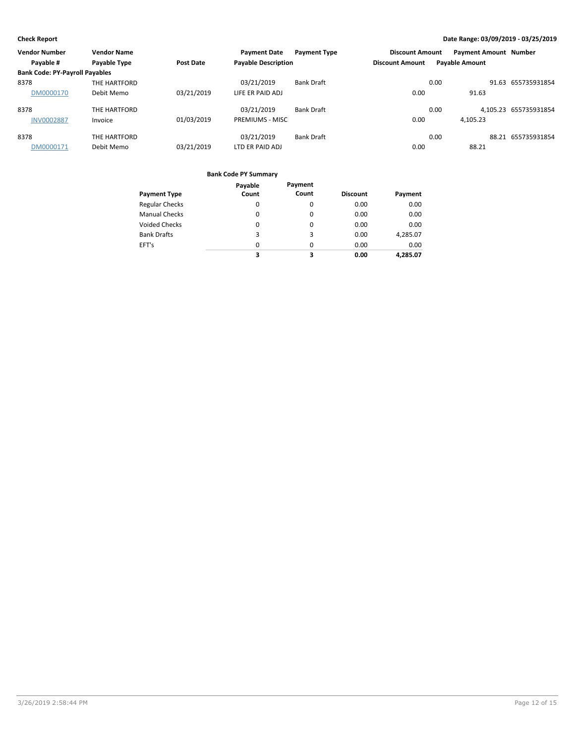| <b>Vendor Number</b>                  | <b>Vendor Name</b> |                  | <b>Payment Date</b>        | <b>Payment Type</b> | <b>Discount Amount</b> |      | <b>Payment Amount Number</b> |                       |
|---------------------------------------|--------------------|------------------|----------------------------|---------------------|------------------------|------|------------------------------|-----------------------|
| Payable #                             | Payable Type       | <b>Post Date</b> | <b>Payable Description</b> |                     | <b>Discount Amount</b> |      | <b>Payable Amount</b>        |                       |
| <b>Bank Code: PY-Payroll Payables</b> |                    |                  |                            |                     |                        |      |                              |                       |
| 8378                                  | THE HARTFORD       |                  | 03/21/2019                 | <b>Bank Draft</b>   |                        | 0.00 |                              | 91.63 655735931854    |
| DM0000170                             | Debit Memo         | 03/21/2019       | LIFE ER PAID ADJ           |                     | 0.00                   |      | 91.63                        |                       |
| 8378                                  | THE HARTFORD       |                  | 03/21/2019                 | <b>Bank Draft</b>   |                        | 0.00 |                              | 4,105.23 655735931854 |
| <b>INV0002887</b>                     | Invoice            | 01/03/2019       | <b>PREMIUMS - MISC</b>     |                     | 0.00                   |      | 4.105.23                     |                       |
| 8378                                  | THE HARTFORD       |                  | 03/21/2019                 | <b>Bank Draft</b>   |                        | 0.00 |                              | 88.21 655735931854    |
| DM0000171                             | Debit Memo         | 03/21/2019       | LTD ER PAID ADJ            |                     | 0.00                   |      | 88.21                        |                       |

|                       | Payable | Payment  |                 |          |
|-----------------------|---------|----------|-----------------|----------|
| <b>Payment Type</b>   | Count   | Count    | <b>Discount</b> | Payment  |
| <b>Regular Checks</b> | 0       | 0        | 0.00            | 0.00     |
| <b>Manual Checks</b>  | 0       | 0        | 0.00            | 0.00     |
| <b>Voided Checks</b>  | 0       | 0        | 0.00            | 0.00     |
| <b>Bank Drafts</b>    | 3       | 3        | 0.00            | 4,285.07 |
| EFT's                 | 0       | $\Omega$ | 0.00            | 0.00     |
|                       | 3       | 3        | 0.00            | 4.285.07 |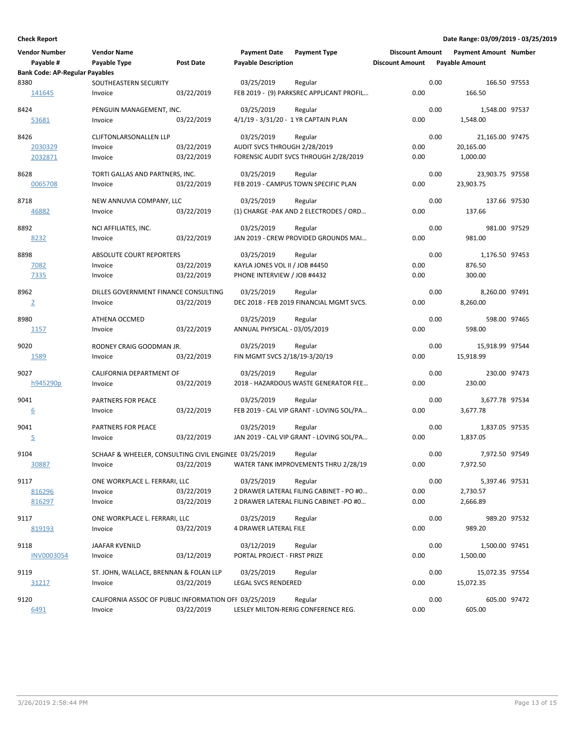| <b>Vendor Number</b><br>Payable #     | <b>Vendor Name</b><br>Payable Type<br><b>Post Date</b> | <b>Payment Date</b><br><b>Payment Type</b><br><b>Payable Description</b> | <b>Discount Amount</b><br><b>Discount Amount</b> | <b>Payment Amount Number</b><br><b>Payable Amount</b> |
|---------------------------------------|--------------------------------------------------------|--------------------------------------------------------------------------|--------------------------------------------------|-------------------------------------------------------|
| <b>Bank Code: AP-Regular Payables</b> |                                                        |                                                                          |                                                  |                                                       |
| 8380                                  | SOUTHEASTERN SECURITY                                  | 03/25/2019<br>Regular                                                    | 0.00                                             | 166.50 97553                                          |
| 141645                                | 03/22/2019<br>Invoice                                  | FEB 2019 - (9) PARKSREC APPLICANT PROFIL                                 | 0.00                                             | 166.50                                                |
| 8424                                  | PENGUIN MANAGEMENT, INC.                               | 03/25/2019<br>Regular                                                    | 0.00                                             | 1,548.00 97537                                        |
| 53681                                 | 03/22/2019<br>Invoice                                  | 4/1/19 - 3/31/20 - 1 YR CAPTAIN PLAN                                     | 0.00                                             | 1,548.00                                              |
|                                       |                                                        |                                                                          |                                                  |                                                       |
| 8426                                  | <b>CLIFTONLARSONALLEN LLP</b>                          | 03/25/2019<br>Regular                                                    | 0.00                                             | 21,165.00 97475                                       |
| 2030329                               | 03/22/2019<br>Invoice                                  | AUDIT SVCS THROUGH 2/28/2019                                             | 0.00                                             | 20,165.00                                             |
| 2032871                               | 03/22/2019<br>Invoice                                  | FORENSIC AUDIT SVCS THROUGH 2/28/2019                                    | 0.00                                             | 1,000.00                                              |
| 8628                                  | TORTI GALLAS AND PARTNERS, INC.                        | 03/25/2019<br>Regular                                                    | 0.00                                             | 23,903.75 97558                                       |
| 0065708                               | 03/22/2019<br>Invoice                                  | FEB 2019 - CAMPUS TOWN SPECIFIC PLAN                                     | 0.00                                             | 23,903.75                                             |
|                                       |                                                        |                                                                          |                                                  |                                                       |
| 8718                                  | NEW ANNUVIA COMPANY, LLC                               | 03/25/2019<br>Regular                                                    | 0.00                                             | 137.66 97530                                          |
| 46882                                 | 03/22/2019<br>Invoice                                  | (1) CHARGE -PAK AND 2 ELECTRODES / ORD                                   | 0.00                                             | 137.66                                                |
| 8892                                  | NCI AFFILIATES, INC.                                   | 03/25/2019<br>Regular                                                    | 0.00                                             | 981.00 97529                                          |
| 8232                                  | 03/22/2019<br>Invoice                                  | JAN 2019 - CREW PROVIDED GROUNDS MAI                                     | 0.00                                             | 981.00                                                |
|                                       |                                                        |                                                                          |                                                  |                                                       |
| 8898                                  | <b>ABSOLUTE COURT REPORTERS</b>                        | 03/25/2019<br>Regular                                                    | 0.00                                             | 1,176.50 97453                                        |
| 7082                                  | 03/22/2019<br>Invoice                                  | KAYLA JONES VOL II / JOB #4450                                           | 0.00                                             | 876.50                                                |
| 7335                                  | 03/22/2019<br>Invoice                                  | PHONE INTERVIEW / JOB #4432                                              | 0.00                                             | 300.00                                                |
|                                       |                                                        |                                                                          |                                                  |                                                       |
| 8962                                  | DILLES GOVERNMENT FINANCE CONSULTING                   | 03/25/2019<br>Regular                                                    | 0.00<br>0.00                                     | 8,260.00 97491                                        |
| $\overline{2}$                        | 03/22/2019<br>Invoice                                  | DEC 2018 - FEB 2019 FINANCIAL MGMT SVCS.                                 |                                                  | 8,260.00                                              |
| 8980                                  | ATHENA OCCMED                                          | 03/25/2019<br>Regular                                                    | 0.00                                             | 598.00 97465                                          |
| 1157                                  | 03/22/2019<br>Invoice                                  | ANNUAL PHYSICAL - 03/05/2019                                             | 0.00                                             | 598.00                                                |
|                                       |                                                        |                                                                          |                                                  |                                                       |
| 9020                                  | RODNEY CRAIG GOODMAN JR.                               | 03/25/2019<br>Regular                                                    | 0.00                                             | 15,918.99 97544                                       |
| 1589                                  | 03/22/2019<br>Invoice                                  | FIN MGMT SVCS 2/18/19-3/20/19                                            | 0.00                                             | 15,918.99                                             |
| 9027                                  | CALIFORNIA DEPARTMENT OF                               | 03/25/2019<br>Regular                                                    | 0.00                                             | 230.00 97473                                          |
| h945290p                              | 03/22/2019<br>Invoice                                  | 2018 - HAZARDOUS WASTE GENERATOR FEE                                     | 0.00                                             | 230.00                                                |
|                                       |                                                        |                                                                          |                                                  |                                                       |
| 9041                                  | PARTNERS FOR PEACE                                     | 03/25/2019<br>Regular                                                    | 0.00                                             | 3,677.78 97534                                        |
| 6                                     | 03/22/2019<br>Invoice                                  | FEB 2019 - CAL VIP GRANT - LOVING SOL/PA                                 | 0.00                                             | 3,677.78                                              |
| 9041                                  | PARTNERS FOR PEACE                                     | 03/25/2019<br>Regular                                                    | 0.00                                             | 1,837.05 97535                                        |
| $\overline{5}$                        | 03/22/2019<br>Invoice                                  | JAN 2019 - CAL VIP GRANT - LOVING SOL/PA                                 | 0.00                                             | 1,837.05                                              |
|                                       |                                                        |                                                                          |                                                  |                                                       |
| 9104                                  | SCHAAF & WHEELER, CONSULTING CIVIL ENGINEE 03/25/2019  | Regular                                                                  | 0.00                                             | 7,972.50 97549                                        |
| 30887                                 | 03/22/2019<br>Invoice                                  | WATER TANK IMPROVEMENTS THRU 2/28/19                                     | 0.00                                             | 7,972.50                                              |
| 9117                                  | ONE WORKPLACE L. FERRARI, LLC                          | 03/25/2019<br>Regular                                                    | 0.00                                             | 5,397.46 97531                                        |
| 816296                                | 03/22/2019<br>Invoice                                  | 2 DRAWER LATERAL FILING CABINET - PO #0                                  | 0.00                                             | 2,730.57                                              |
| 816297                                | 03/22/2019<br>Invoice                                  | 2 DRAWER LATERAL FILING CABINET -PO #0                                   | 0.00                                             | 2,666.89                                              |
|                                       |                                                        |                                                                          |                                                  |                                                       |
| 9117                                  | ONE WORKPLACE L. FERRARI, LLC                          | 03/25/2019<br>Regular                                                    | 0.00                                             | 989.20 97532                                          |
| 819193                                | 03/22/2019<br>Invoice                                  | 4 DRAWER LATERAL FILE                                                    | 0.00                                             | 989.20                                                |
|                                       |                                                        |                                                                          |                                                  |                                                       |
| 9118                                  | JAAFAR KVENILD                                         | 03/12/2019<br>Regular                                                    | 0.00                                             | 1,500.00 97451                                        |
| <b>INV0003054</b>                     | Invoice<br>03/12/2019                                  | PORTAL PROJECT - FIRST PRIZE                                             | 0.00                                             | 1,500.00                                              |
| 9119                                  | ST. JOHN, WALLACE, BRENNAN & FOLAN LLP                 | 03/25/2019<br>Regular                                                    | 0.00                                             | 15,072.35 97554                                       |
| 31217                                 | 03/22/2019<br>Invoice                                  | <b>LEGAL SVCS RENDERED</b>                                               | 0.00                                             | 15,072.35                                             |
|                                       |                                                        |                                                                          |                                                  |                                                       |
| 9120                                  | CALIFORNIA ASSOC OF PUBLIC INFORMATION OFF 03/25/2019  | Regular                                                                  | 0.00                                             | 605.00 97472                                          |
| 6491                                  | 03/22/2019<br>Invoice                                  | LESLEY MILTON-RERIG CONFERENCE REG.                                      | 0.00                                             | 605.00                                                |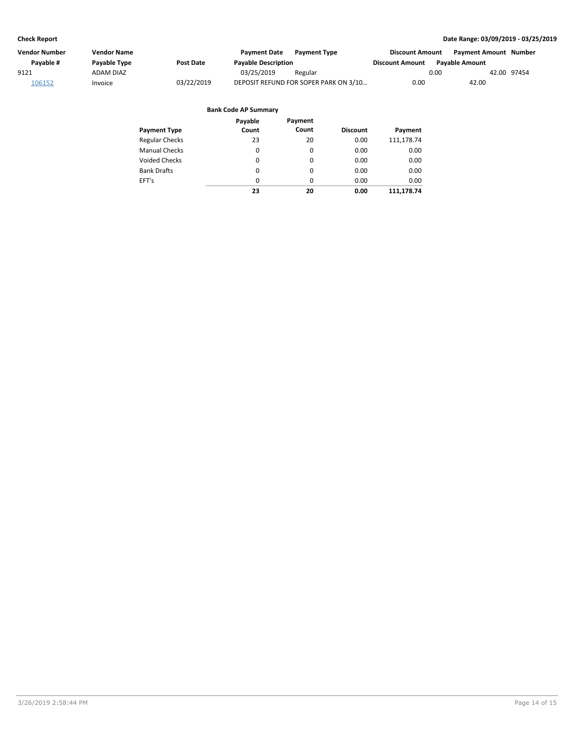| Vendor Number | <b>Vendor Name</b> |                  | <b>Payment Date</b>        | <b>Payment Type</b>                   | <b>Discount Amount</b> | <b>Payment Amount Number</b> |
|---------------|--------------------|------------------|----------------------------|---------------------------------------|------------------------|------------------------------|
| Pavable #     | Payable Type       | <b>Post Date</b> | <b>Payable Description</b> |                                       | <b>Discount Amount</b> | <b>Pavable Amount</b>        |
| 9121          | <b>ADAM DIAZ</b>   |                  | 03/25/2019                 | Regular                               | 0.00                   | 42.00 97454                  |
| 106152        | Invoice            | 03/22/2019       |                            | DEPOSIT REFUND FOR SOPER PARK ON 3/10 | 0.00                   | 42.00                        |

|                       | Payable  | Payment  |                 |            |
|-----------------------|----------|----------|-----------------|------------|
| <b>Payment Type</b>   | Count    | Count    | <b>Discount</b> | Payment    |
| <b>Regular Checks</b> | 23       | 20       | 0.00            | 111,178.74 |
| <b>Manual Checks</b>  | 0        | 0        | 0.00            | 0.00       |
| <b>Voided Checks</b>  | 0        | 0        | 0.00            | 0.00       |
| <b>Bank Drafts</b>    | $\Omega$ | $\Omega$ | 0.00            | 0.00       |
| EFT's                 | $\Omega$ | $\Omega$ | 0.00            | 0.00       |
|                       | 23       | 20       | 0.00            | 111.178.74 |